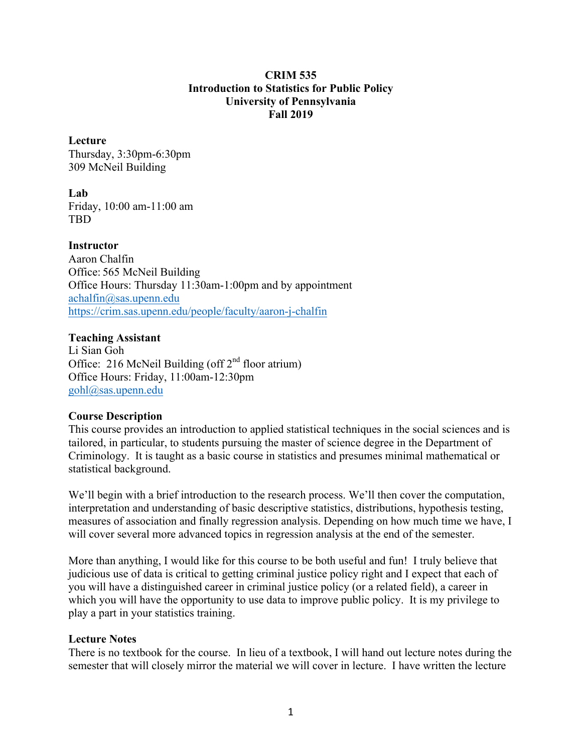#### **CRIM 535 Introduction to Statistics for Public Policy University of Pennsylvania Fall 2019**

#### **Lecture**

Thursday, 3:30pm-6:30pm 309 McNeil Building

**Lab** Friday, 10:00 am-11:00 am TBD

**Instructor** Aaron Chalfin Office: 565 McNeil Building Office Hours: Thursday 11:30am-1:00pm and by appointment achalfin@sas.upenn.edu https://crim.sas.upenn.edu/people/faculty/aaron-j-chalfin

## **Teaching Assistant**

Li Sian Goh Office: 216 McNeil Building (off  $2<sup>nd</sup>$  floor atrium) Office Hours: Friday, 11:00am-12:30pm gohl@sas.upenn.edu

## **Course Description**

This course provides an introduction to applied statistical techniques in the social sciences and is tailored, in particular, to students pursuing the master of science degree in the Department of Criminology. It is taught as a basic course in statistics and presumes minimal mathematical or statistical background.

We'll begin with a brief introduction to the research process. We'll then cover the computation, interpretation and understanding of basic descriptive statistics, distributions, hypothesis testing, measures of association and finally regression analysis. Depending on how much time we have, I will cover several more advanced topics in regression analysis at the end of the semester.

More than anything, I would like for this course to be both useful and fun! I truly believe that judicious use of data is critical to getting criminal justice policy right and I expect that each of you will have a distinguished career in criminal justice policy (or a related field), a career in which you will have the opportunity to use data to improve public policy. It is my privilege to play a part in your statistics training.

## **Lecture Notes**

There is no textbook for the course. In lieu of a textbook, I will hand out lecture notes during the semester that will closely mirror the material we will cover in lecture. I have written the lecture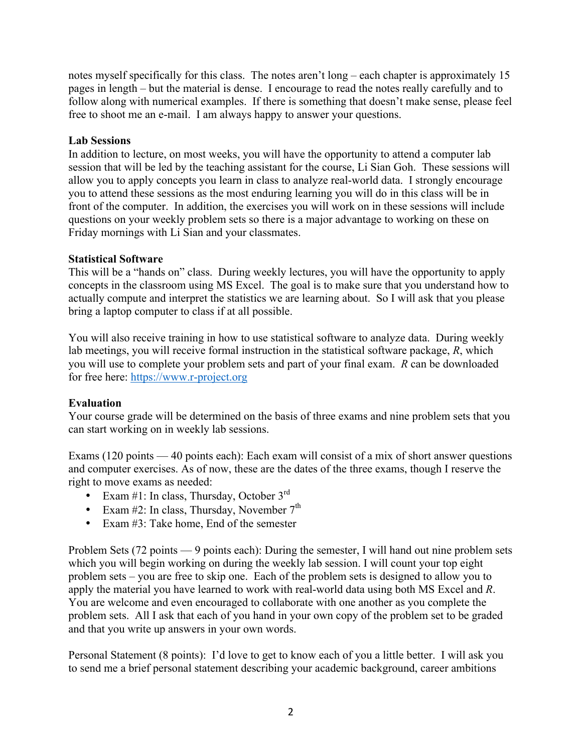notes myself specifically for this class. The notes aren't long – each chapter is approximately 15 pages in length – but the material is dense. I encourage to read the notes really carefully and to follow along with numerical examples. If there is something that doesn't make sense, please feel free to shoot me an e-mail. I am always happy to answer your questions.

## **Lab Sessions**

In addition to lecture, on most weeks, you will have the opportunity to attend a computer lab session that will be led by the teaching assistant for the course, Li Sian Goh. These sessions will allow you to apply concepts you learn in class to analyze real-world data. I strongly encourage you to attend these sessions as the most enduring learning you will do in this class will be in front of the computer. In addition, the exercises you will work on in these sessions will include questions on your weekly problem sets so there is a major advantage to working on these on Friday mornings with Li Sian and your classmates.

## **Statistical Software**

This will be a "hands on" class. During weekly lectures, you will have the opportunity to apply concepts in the classroom using MS Excel. The goal is to make sure that you understand how to actually compute and interpret the statistics we are learning about. So I will ask that you please bring a laptop computer to class if at all possible.

You will also receive training in how to use statistical software to analyze data. During weekly lab meetings, you will receive formal instruction in the statistical software package, *R*, which you will use to complete your problem sets and part of your final exam. *R* can be downloaded for free here: https://www.r-project.org

## **Evaluation**

Your course grade will be determined on the basis of three exams and nine problem sets that you can start working on in weekly lab sessions.

Exams (120 points — 40 points each): Each exam will consist of a mix of short answer questions and computer exercises. As of now, these are the dates of the three exams, though I reserve the right to move exams as needed:

- Exam #1: In class, Thursday, October  $3<sup>rd</sup>$
- Exam #2: In class, Thursday, November  $7<sup>th</sup>$
- Exam #3: Take home, End of the semester

Problem Sets (72 points — 9 points each): During the semester, I will hand out nine problem sets which you will begin working on during the weekly lab session. I will count your top eight problem sets – you are free to skip one. Each of the problem sets is designed to allow you to apply the material you have learned to work with real-world data using both MS Excel and *R*. You are welcome and even encouraged to collaborate with one another as you complete the problem sets. All I ask that each of you hand in your own copy of the problem set to be graded and that you write up answers in your own words.

Personal Statement (8 points): I'd love to get to know each of you a little better. I will ask you to send me a brief personal statement describing your academic background, career ambitions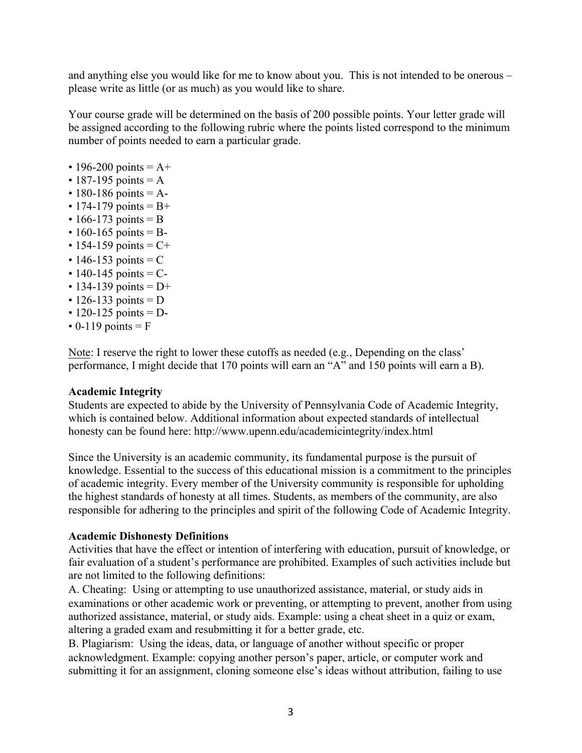and anything else you would like for me to know about you. This is not intended to be onerous – please write as little (or as much) as you would like to share.

Your course grade will be determined on the basis of 200 possible points. Your letter grade will be assigned according to the following rubric where the points listed correspond to the minimum number of points needed to earn a particular grade.

- 196-200 points  $= A +$
- $\cdot$  187-195 points = A
- 180-186 points  $= A-$
- 174-179 points  $= B +$
- 166-173 points = B
- 160-165 points =  $B-$
- 154-159 points  $= C +$
- 146-153 points  $= C$
- 140-145 points  $= C -$
- 134-139 points  $= D+$
- 126-133 points  $= D$
- 120-125 points  $= D -$
- $\cdot$  0-119 points = F

Note: I reserve the right to lower these cutoffs as needed (e.g., Depending on the class' performance, I might decide that 170 points will earn an "A" and 150 points will earn a B).

#### **Academic Integrity**

Students are expected to abide by the University of Pennsylvania Code of Academic Integrity, which is contained below. Additional information about expected standards of intellectual honesty can be found here: http://www.upenn.edu/academicintegrity/index.html

Since the University is an academic community, its fundamental purpose is the pursuit of knowledge. Essential to the success of this educational mission is a commitment to the principles of academic integrity. Every member of the University community is responsible for upholding the highest standards of honesty at all times. Students, as members of the community, are also responsible for adhering to the principles and spirit of the following Code of Academic Integrity.

#### **Academic Dishonesty Definitions**

Activities that have the effect or intention of interfering with education, pursuit of knowledge, or fair evaluation of a student's performance are prohibited. Examples of such activities include but are not limited to the following definitions:

A. Cheating: Using or attempting to use unauthorized assistance, material, or study aids in examinations or other academic work or preventing, or attempting to prevent, another from using authorized assistance, material, or study aids. Example: using a cheat sheet in a quiz or exam, altering a graded exam and resubmitting it for a better grade, etc.

B. Plagiarism: Using the ideas, data, or language of another without specific or proper acknowledgment. Example: copying another person's paper, article, or computer work and submitting it for an assignment, cloning someone else's ideas without attribution, failing to use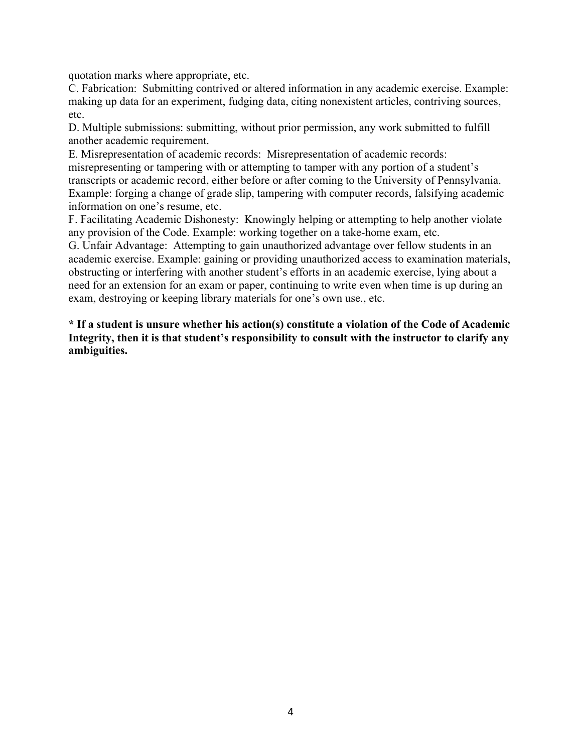quotation marks where appropriate, etc.

C. Fabrication: Submitting contrived or altered information in any academic exercise. Example: making up data for an experiment, fudging data, citing nonexistent articles, contriving sources, etc.

D. Multiple submissions: submitting, without prior permission, any work submitted to fulfill another academic requirement.

E. Misrepresentation of academic records: Misrepresentation of academic records: misrepresenting or tampering with or attempting to tamper with any portion of a student's transcripts or academic record, either before or after coming to the University of Pennsylvania. Example: forging a change of grade slip, tampering with computer records, falsifying academic information on one's resume, etc.

F. Facilitating Academic Dishonesty: Knowingly helping or attempting to help another violate any provision of the Code. Example: working together on a take-home exam, etc.

G. Unfair Advantage: Attempting to gain unauthorized advantage over fellow students in an academic exercise. Example: gaining or providing unauthorized access to examination materials, obstructing or interfering with another student's efforts in an academic exercise, lying about a need for an extension for an exam or paper, continuing to write even when time is up during an exam, destroying or keeping library materials for one's own use., etc.

**\* If a student is unsure whether his action(s) constitute a violation of the Code of Academic Integrity, then it is that student's responsibility to consult with the instructor to clarify any ambiguities.**